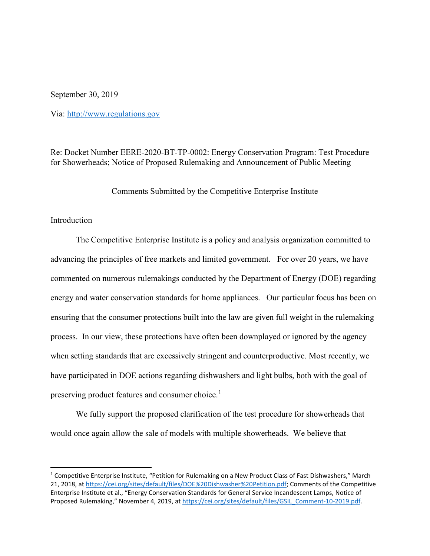September 30, 2019

Via: [http://www.regulations.gov](http://www.regulations.gov/)

Re: Docket Number EERE-2020-BT-TP-0002: Energy Conservation Program: Test Procedure for Showerheads; Notice of Proposed Rulemaking and Announcement of Public Meeting

Comments Submitted by the Competitive Enterprise Institute

## Introduction

The Competitive Enterprise Institute is a policy and analysis organization committed to advancing the principles of free markets and limited government. For over 20 years, we have commented on numerous rulemakings conducted by the Department of Energy (DOE) regarding energy and water conservation standards for home appliances. Our particular focus has been on ensuring that the consumer protections built into the law are given full weight in the rulemaking process. In our view, these protections have often been downplayed or ignored by the agency when setting standards that are excessively stringent and counterproductive. Most recently, we have participated in DOE actions regarding dishwashers and light bulbs, both with the goal of preserving product features and consumer choice.<sup>[1](#page-0-0)</sup>

We fully support the proposed clarification of the test procedure for showerheads that would once again allow the sale of models with multiple showerheads. We believe that

<span id="page-0-0"></span> <sup>1</sup> Competitive Enterprise Institute, "Petition for Rulemaking on a New Product Class of Fast Dishwashers," March 21, 2018, at [https://cei.org/sites/default/files/DOE%20Dishwasher%20Petition.pdf;](https://cei.org/sites/default/files/DOE%20Dishwasher%20Petition.pdf) Comments of the Competitive Enterprise Institute et al., "Energy Conservation Standards for General Service Incandescent Lamps, Notice of Proposed Rulemaking," November 4, 2019, at [https://cei.org/sites/default/files/GSIL\\_Comment-10-2019.pdf.](https://cei.org/sites/default/files/GSIL_Comment-10-2019.pdf)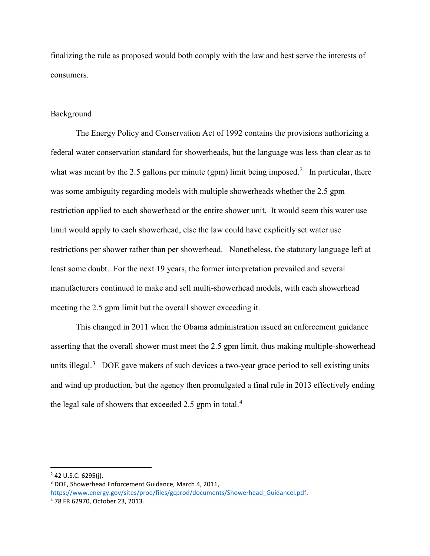finalizing the rule as proposed would both comply with the law and best serve the interests of consumers.

## Background

The Energy Policy and Conservation Act of 1992 contains the provisions authorizing a federal water conservation standard for showerheads, but the language was less than clear as to what was meant by the [2](#page-1-0).5 gallons per minute (gpm) limit being imposed.<sup>2</sup> In particular, there was some ambiguity regarding models with multiple showerheads whether the 2.5 gpm restriction applied to each showerhead or the entire shower unit. It would seem this water use limit would apply to each showerhead, else the law could have explicitly set water use restrictions per shower rather than per showerhead. Nonetheless, the statutory language left at least some doubt. For the next 19 years, the former interpretation prevailed and several manufacturers continued to make and sell multi-showerhead models, with each showerhead meeting the 2.5 gpm limit but the overall shower exceeding it.

This changed in 2011 when the Obama administration issued an enforcement guidance asserting that the overall shower must meet the 2.5 gpm limit, thus making multiple-showerhead units illegal.<sup>[3](#page-1-1)</sup> DOE gave makers of such devices a two-year grace period to sell existing units and wind up production, but the agency then promulgated a final rule in 2013 effectively ending the legal sale of showers that exceeded 2.5 gpm in total. $4$ 

<span id="page-1-0"></span> $2$  42 U.S.C. 6295(j).

<span id="page-1-1"></span><sup>3</sup> DOE, Showerhead Enforcement Guidance, March 4, 2011, https://www.energy.gov/sites/prod/files/gcprod/documents/Showerhead Guidancel.pdf. 4 78 FR 62970, October 23, 2013.

<span id="page-1-2"></span>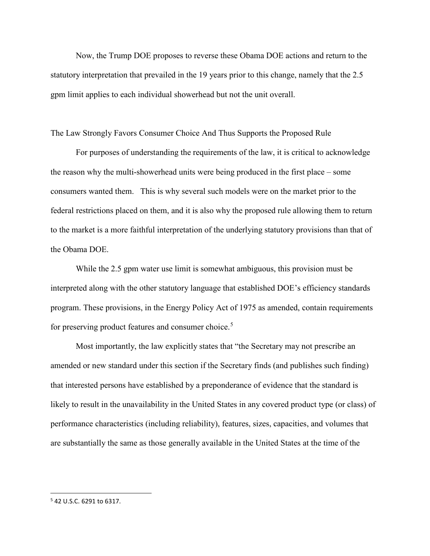Now, the Trump DOE proposes to reverse these Obama DOE actions and return to the statutory interpretation that prevailed in the 19 years prior to this change, namely that the 2.5 gpm limit applies to each individual showerhead but not the unit overall.

The Law Strongly Favors Consumer Choice And Thus Supports the Proposed Rule

For purposes of understanding the requirements of the law, it is critical to acknowledge the reason why the multi-showerhead units were being produced in the first place – some consumers wanted them. This is why several such models were on the market prior to the federal restrictions placed on them, and it is also why the proposed rule allowing them to return to the market is a more faithful interpretation of the underlying statutory provisions than that of the Obama DOE.

While the 2.5 gpm water use limit is somewhat ambiguous, this provision must be interpreted along with the other statutory language that established DOE's efficiency standards program. These provisions, in the Energy Policy Act of 1975 as amended, contain requirements for preserving product features and consumer choice.<sup>[5](#page-2-0)</sup>

Most importantly, the law explicitly states that "the Secretary may not prescribe an amended or new standard under this section if the Secretary finds (and publishes such finding) that interested persons have established by a preponderance of evidence that the standard is likely to result in the unavailability in the United States in any covered product type (or class) of performance characteristics (including reliability), features, sizes, capacities, and volumes that are substantially the same as those generally available in the United States at the time of the

<span id="page-2-0"></span> <sup>5</sup> 42 U.S.C. 6291 to 6317.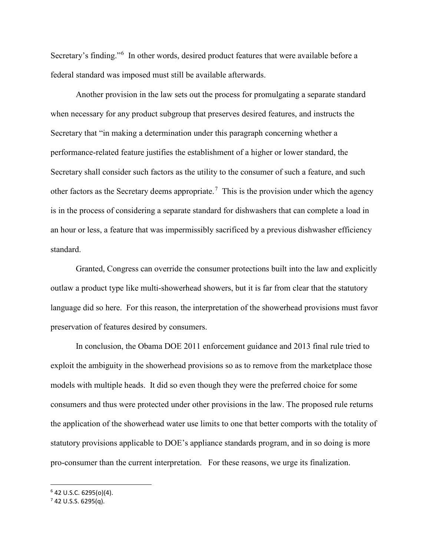Secretary's finding."[6](#page-3-0) In other words, desired product features that were available before a federal standard was imposed must still be available afterwards.

 Another provision in the law sets out the process for promulgating a separate standard when necessary for any product subgroup that preserves desired features, and instructs the Secretary that "in making a determination under this paragraph concerning whether a performance-related feature justifies the establishment of a higher or lower standard, the Secretary shall consider such factors as the utility to the consumer of such a feature, and such other factors as the Secretary deems appropriate.<sup>[7](#page-3-1)</sup> This is the provision under which the agency is in the process of considering a separate standard for dishwashers that can complete a load in an hour or less, a feature that was impermissibly sacrificed by a previous dishwasher efficiency standard.

Granted, Congress can override the consumer protections built into the law and explicitly outlaw a product type like multi-showerhead showers, but it is far from clear that the statutory language did so here. For this reason, the interpretation of the showerhead provisions must favor preservation of features desired by consumers.

In conclusion, the Obama DOE 2011 enforcement guidance and 2013 final rule tried to exploit the ambiguity in the showerhead provisions so as to remove from the marketplace those models with multiple heads. It did so even though they were the preferred choice for some consumers and thus were protected under other provisions in the law. The proposed rule returns the application of the showerhead water use limits to one that better comports with the totality of statutory provisions applicable to DOE's appliance standards program, and in so doing is more pro-consumer than the current interpretation. For these reasons, we urge its finalization.

<span id="page-3-0"></span> $6$  42 U.S.C. 6295(o)(4).<br><sup>7</sup> 42 U.S.S. 6295(q).

<span id="page-3-1"></span>